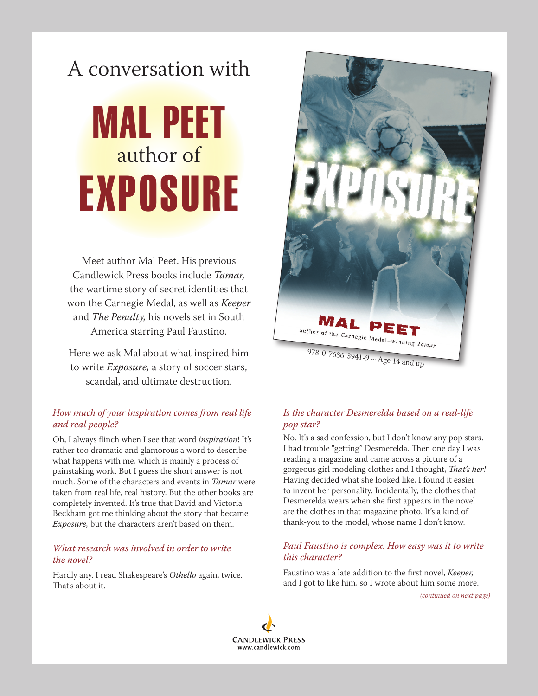# A conversation with

# MAL PEET author of EXPOSURE

Meet author Mal Peet. His previous Candlewick Press books include *Tamar,*  the wartime story of secret identities that won the Carnegie Medal, as well as *Keeper* and *The Penalty,* his novels set in South America starring Paul Faustino.

Here we ask Mal about what inspired him to write *Exposure,* a story of soccer stars, scandal, and ultimate destruction.

### *How much of your inspiration comes from real life and real people?*

Oh, I always flinch when I see that word *inspiration*! It's rather too dramatic and glamorous a word to describe what happens with me, which is mainly a process of painstaking work. But I guess the short answer is not much. Some of the characters and events in *Tamar* were taken from real life, real history. But the other books are completely invented. It's true that David and Victoria Beckham got me thinking about the story that became *Exposure,* but the characters aren't based on them.

#### *What research was involved in order to write the novel?*

Hardly any. I read Shakespeare's *Othello* again, twice. That's about it.



## *Is the character Desmerelda based on a real-life pop star?*

No. It's a sad confession, but I don't know any pop stars. I had trouble "getting" Desmerelda. Then one day I was reading a magazine and came across a picture of a gorgeous girl modeling clothes and I thought, *That's her!* Having decided what she looked like, I found it easier to invent her personality. Incidentally, the clothes that Desmerelda wears when she first appears in the novel are the clothes in that magazine photo. It's a kind of thank-you to the model, whose name I don't know.

#### *Paul Faustino is complex. How easy was it to write this character?*

Faustino was a late addition to the first novel, *Keeper,*  and I got to like him, so I wrote about him some more.

*(continued on next page)*